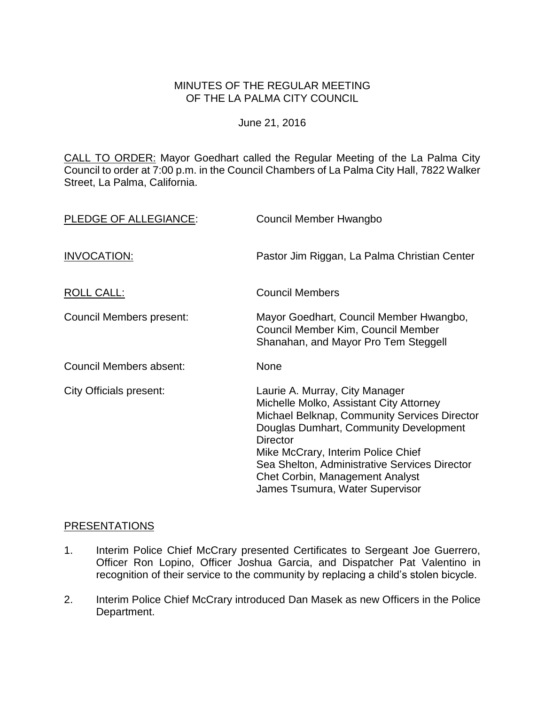# MINUTES OF THE REGULAR MEETING OF THE LA PALMA CITY COUNCIL

June 21, 2016

CALL TO ORDER: [Mayor Goedhart called the Regular Meeting of the La Palma City](http://lapalma.granicus.com/MediaPlayer.php?view_id=&clip_id=1014&meta_id=134293)  [Council to order at 7:00 p.m. in the Council Chambers of La Palma City Hall, 7822 Walker](http://lapalma.granicus.com/MediaPlayer.php?view_id=&clip_id=1014&meta_id=134293)  [Street, La Palma, California.](http://lapalma.granicus.com/MediaPlayer.php?view_id=&clip_id=1014&meta_id=134293)

| PLEDGE OF ALLEGIANCE:    | Council Member Hwangbo                                                                                                                                                                                                                                                                                                                                     |
|--------------------------|------------------------------------------------------------------------------------------------------------------------------------------------------------------------------------------------------------------------------------------------------------------------------------------------------------------------------------------------------------|
| INVOCATION:              | Pastor Jim Riggan, La Palma Christian Center                                                                                                                                                                                                                                                                                                               |
| ROLL CALL:               | <b>Council Members</b>                                                                                                                                                                                                                                                                                                                                     |
| Council Members present: | Mayor Goedhart, Council Member Hwangbo,<br>Council Member Kim, Council Member<br>Shanahan, and Mayor Pro Tem Steggell                                                                                                                                                                                                                                      |
| Council Members absent:  | None                                                                                                                                                                                                                                                                                                                                                       |
| City Officials present:  | Laurie A. Murray, City Manager<br>Michelle Molko, Assistant City Attorney<br>Michael Belknap, Community Services Director<br>Douglas Dumhart, Community Development<br><b>Director</b><br>Mike McCrary, Interim Police Chief<br>Sea Shelton, Administrative Services Director<br><b>Chet Corbin, Management Analyst</b><br>James Tsumura, Water Supervisor |

### [PRESENTATIONS](http://lapalma.granicus.com/MediaPlayer.php?view_id=&clip_id=1014&meta_id=134297)

- 1. [Interim Police Chief McCrary presented Certificates to Sergeant Joe Guerrero,](http://lapalma.granicus.com/MediaPlayer.php?view_id=&clip_id=1014&meta_id=134298)  [Officer Ron Lopino, Officer Joshua Garcia, and Dispatcher Pat Valentino](http://lapalma.granicus.com/MediaPlayer.php?view_id=&clip_id=1014&meta_id=134298) in recognition [of their service to the community by](http://lapalma.granicus.com/MediaPlayer.php?view_id=&clip_id=1014&meta_id=134298) replacing a child's stolen bicycle.
- 2. [Interim Police Chief McCrary introduced](http://lapalma.granicus.com/MediaPlayer.php?view_id=&clip_id=1014&meta_id=134299) Dan Masek as new Officers in the Police [Department.](http://lapalma.granicus.com/MediaPlayer.php?view_id=&clip_id=1014&meta_id=134299)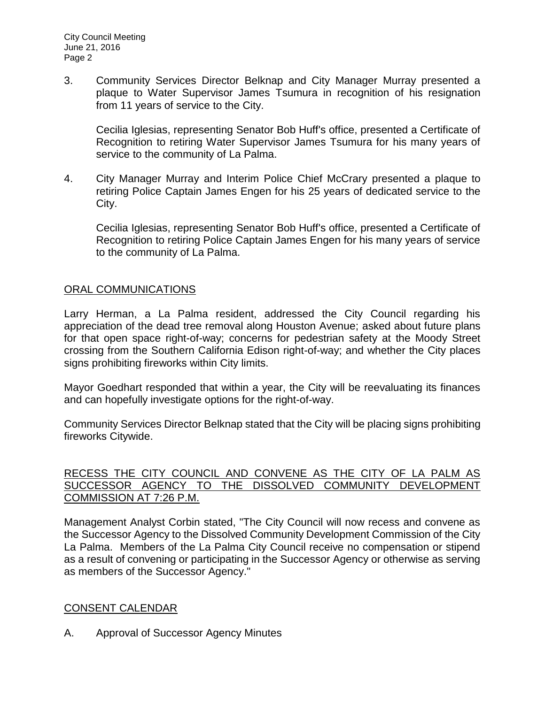3. [Community Services Director Belknap and City Manager Murray presented a](http://lapalma.granicus.com/MediaPlayer.php?view_id=&clip_id=1014&meta_id=134300)  [plaque to Water Supervisor James Tsumura in recognition](http://lapalma.granicus.com/MediaPlayer.php?view_id=&clip_id=1014&meta_id=134300) of his resignation from [11 years of service to the City.](http://lapalma.granicus.com/MediaPlayer.php?view_id=&clip_id=1014&meta_id=134300)

Cecilia Iglesias, representing Senator Bob Huff's office, presented a Certificate of Recognition to retiring Water Supervisor James Tsumura for his many years of service to the community of La Palma.

4. City Manager Murray [and Interim Police Chief McCrary](http://lapalma.granicus.com/MediaPlayer.php?view_id=&clip_id=1014&meta_id=134301) presented a plaque to retiring Police Captain James Engen for his [25 years of dedicated service to the](http://lapalma.granicus.com/MediaPlayer.php?view_id=&clip_id=1014&meta_id=134301)  [City.](http://lapalma.granicus.com/MediaPlayer.php?view_id=&clip_id=1014&meta_id=134301)

Cecilia Iglesias, representing Senator Bob Huff's office, presented a Certificate of Recognition to retiring Police Captain James Engen for his many years of service to the community of La Palma.

# [ORAL COMMUNICATIONS](http://lapalma.granicus.com/MediaPlayer.php?view_id=&clip_id=1014&meta_id=134302)

Larry Herman, a La Palma resident, addressed the City Council regarding his appreciation of the dead tree removal along Houston Avenue; asked about future plans for that open space right-of-way; concerns for pedestrian safety at the Moody Street crossing from the Southern California Edison right-of-way; and whether the City places signs prohibiting fireworks within City limits.

Mayor Goedhart responded that within a year, the City will be reevaluating its finances and can hopefully investigate options for the right-of-way.

Community Services Director Belknap stated that the City will be placing signs prohibiting fireworks Citywide.

## [RECESS THE CITY COUNCIL AND CONVENE AS THE CITY OF LA PALM AS](http://lapalma.granicus.com/MediaPlayer.php?view_id=&clip_id=1014&meta_id=134303)  [SUCCESSOR AGENCY TO THE DISSOLVED COMMUNITY DEVELOPMENT](http://lapalma.granicus.com/MediaPlayer.php?view_id=&clip_id=1014&meta_id=134303)  [COMMISSION AT 7:26 P.M.](http://lapalma.granicus.com/MediaPlayer.php?view_id=&clip_id=1014&meta_id=134303)

[Management Analyst Corbin stated, "The City Council will now recess and convene as](http://lapalma.granicus.com/MediaPlayer.php?view_id=&clip_id=1014&meta_id=134304)  [the Successor Agency to the Dissolved Community Development Commission of the City](http://lapalma.granicus.com/MediaPlayer.php?view_id=&clip_id=1014&meta_id=134304)  La Palma. [Members of the La Palma City Council receive no compensation or stipend](http://lapalma.granicus.com/MediaPlayer.php?view_id=&clip_id=1014&meta_id=134304)  [as a result of convening or participating in the Successor Agency or otherwise as serving](http://lapalma.granicus.com/MediaPlayer.php?view_id=&clip_id=1014&meta_id=134304)  [as members of the Successor Agency."](http://lapalma.granicus.com/MediaPlayer.php?view_id=&clip_id=1014&meta_id=134304)

## [CONSENT CALENDAR](http://lapalma.granicus.com/MediaPlayer.php?view_id=&clip_id=1014&meta_id=134305)

A. [Approval of Successor Agency Minutes](http://lapalma.granicus.com/MediaPlayer.php?view_id=&clip_id=1014&meta_id=134306)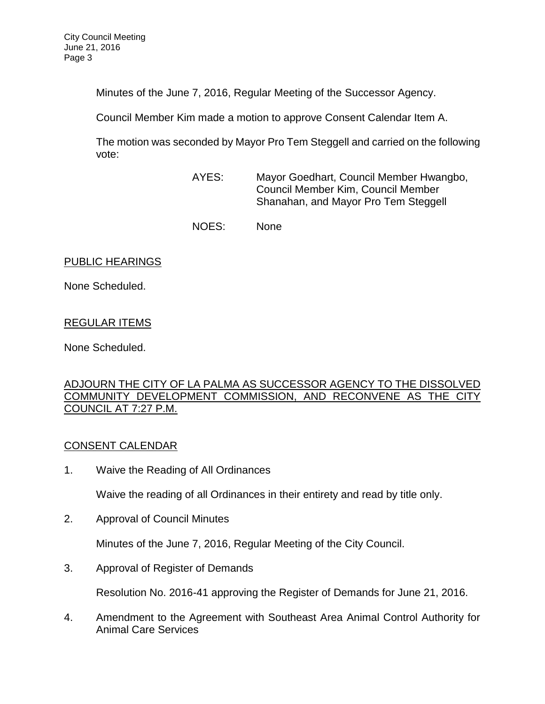Minutes of the June 7, 2016, Regular Meeting of the Successor Agency.

Council Member Kim made a motion to approve Consent Calendar Item A.

The motion was seconded by Mayor Pro Tem Steggell and carried on the following vote:

- AYES: Mayor Goedhart, Council Member Hwangbo, Council Member Kim, Council Member Shanahan, and Mayor Pro Tem Steggell
- NOES: None

# PUBLIC HEARINGS

None Scheduled.

# REGULAR ITEMS

None Scheduled.

## [ADJOURN THE CITY OF LA PALMA AS SUCCESSOR AGENCY TO THE DISSOLVED](http://lapalma.granicus.com/MediaPlayer.php?view_id=&clip_id=1014&meta_id=134312)  [COMMUNITY DEVELOPMENT COMMISSION, AND RECONVENE AS THE CITY](http://lapalma.granicus.com/MediaPlayer.php?view_id=&clip_id=1014&meta_id=134312)  [COUNCIL AT 7:27 P.M.](http://lapalma.granicus.com/MediaPlayer.php?view_id=&clip_id=1014&meta_id=134312)

# [CONSENT CALENDAR](http://lapalma.granicus.com/MediaPlayer.php?view_id=&clip_id=1014&meta_id=134313)

1. Waive the Reading of All Ordinances

Waive the reading of all Ordinances in their entirety and read by title only.

2. Approval of Council Minutes

Minutes of the June 7, 2016, Regular Meeting of the City Council.

3. Approval of Register of Demands

Resolution No. 2016-41 approving the Register of Demands for June 21, 2016.

4. Amendment to the Agreement with Southeast Area Animal Control Authority for Animal Care Services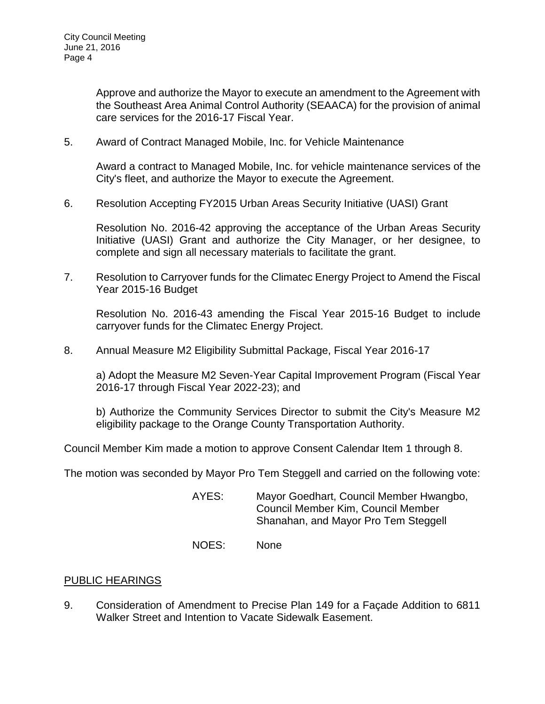Approve and authorize the Mayor to execute an amendment to the Agreement with the Southeast Area Animal Control Authority (SEAACA) for the provision of animal care services for the 2016-17 Fiscal Year.

5. Award of Contract Managed Mobile, Inc. for Vehicle Maintenance

Award a contract to Managed Mobile, Inc. for vehicle maintenance services of the City's fleet, and authorize the Mayor to execute the Agreement.

6. Resolution Accepting FY2015 Urban Areas Security Initiative (UASI) Grant

Resolution No. 2016-42 approving the acceptance of the Urban Areas Security Initiative (UASI) Grant and authorize the City Manager, or her designee, to complete and sign all necessary materials to facilitate the grant.

7. Resolution to Carryover funds for the Climatec Energy Project to Amend the Fiscal Year 2015-16 Budget

Resolution No. 2016-43 amending the Fiscal Year 2015-16 Budget to include carryover funds for the Climatec Energy Project.

8. Annual Measure M2 Eligibility Submittal Package, Fiscal Year 2016-17

a) Adopt the Measure M2 Seven-Year Capital Improvement Program (Fiscal Year 2016-17 through Fiscal Year 2022-23); and

b) Authorize the Community Services Director to submit the City's Measure M2 eligibility package to the Orange County Transportation Authority.

Council Member Kim made a motion to approve Consent Calendar Item 1 through 8.

The motion was seconded by Mayor Pro Tem Steggell and carried on the following vote:

- AYES: Mayor Goedhart, Council Member Hwangbo, Council Member Kim, Council Member Shanahan, and Mayor Pro Tem Steggell
- NOES: None

### PUBLIC HEARINGS

9. [Consideration of Amendment to Precise Plan 149 for a Façade Addition to 6811](http://lapalma.granicus.com/MediaPlayer.php?view_id=&clip_id=1014&meta_id=134332)  Walker [Street and Intention to Vacate Sidewalk Easement.](http://lapalma.granicus.com/MediaPlayer.php?view_id=&clip_id=1014&meta_id=134332)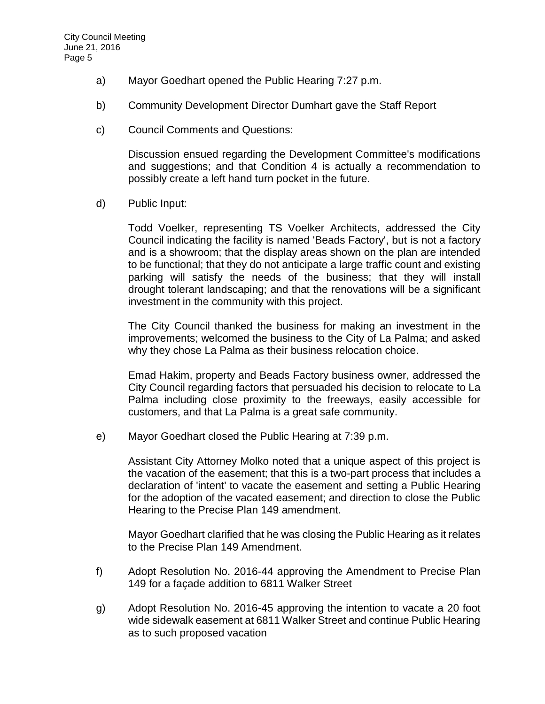- a) [Mayor Goedhart opened the](http://lapalma.granicus.com/MediaPlayer.php?view_id=&clip_id=1014&meta_id=134333) Public Hearing 7:27 p.m.
- b) [Community Development Director Dumhart gave the](http://lapalma.granicus.com/MediaPlayer.php?view_id=&clip_id=1014&meta_id=134334) Staff Report
- c) [Council Comments and Questions:](http://lapalma.granicus.com/MediaPlayer.php?view_id=&clip_id=1014&meta_id=134335)

Discussion ensued regarding the Development Committee's modifications and suggestions; and that Condition 4 is actually a recommendation to possibly create a left hand turn pocket in the future.

d) [Public Input:](http://lapalma.granicus.com/MediaPlayer.php?view_id=&clip_id=1014&meta_id=134336)

Todd Voelker, representing TS Voelker Architects, addressed the City Council indicating the facility is named 'Beads Factory', but is not a factory and is a showroom; that the display areas shown on the plan are intended to be functional; that they do not anticipate a large traffic count and existing parking will satisfy the needs of the business; that they will install drought tolerant landscaping; and that the renovations will be a significant investment in the community with this project.

The City Council thanked the business for making an investment in the improvements; welcomed the business to the City of La Palma; and asked why they chose La Palma as their business relocation choice.

Emad Hakim, property and Beads Factory business owner, addressed the City Council regarding factors that persuaded his decision to relocate to La Palma including close proximity to the freeways, easily accessible for customers, and that La Palma is a great safe community.

e) [Mayor Goedhart closed the](http://lapalma.granicus.com/MediaPlayer.php?view_id=&clip_id=1014&meta_id=134339) Public Hearing at 7:39 p.m.

Assistant City Attorney Molko noted that a unique aspect of this project is the vacation of the easement; that this is a two-part process that includes a declaration of 'intent' to vacate the easement and setting a Public Hearing for the adoption of the vacated easement; and direction to close the Public Hearing to the Precise Plan 149 amendment.

Mayor Goedhart clarified that he was closing the Public Hearing as it relates to the Precise Plan 149 Amendment.

- f) Adopt Resolution No. 2016-44 approving the Amendment to Precise Plan 149 for a façade addition to 6811 Walker Street
- g) Adopt Resolution No. 2016-45 approving the intention to vacate a 20 foot wide sidewalk easement at 6811 Walker Street and continue Public Hearing as to such proposed vacation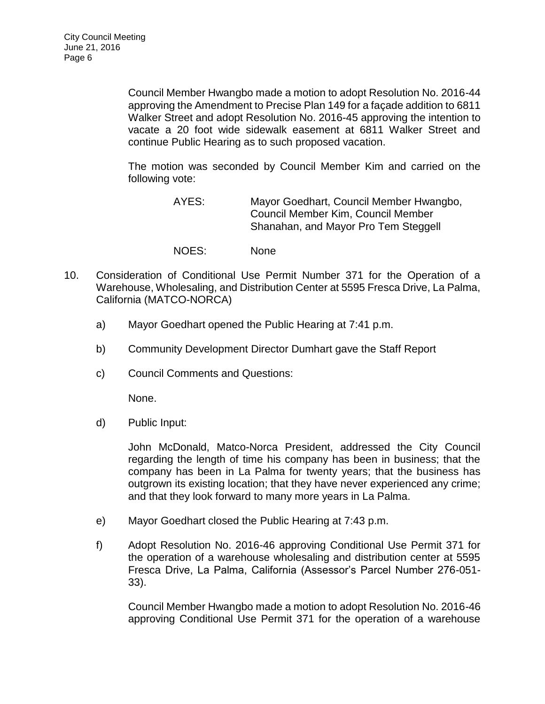Council Member Hwangbo made a motion to adopt Resolution No. 2016-44 approving the Amendment to Precise Plan 149 for a façade addition to 6811 Walker Street and adopt Resolution No. 2016-45 approving the intention to vacate a 20 foot wide sidewalk easement at 6811 Walker Street and continue Public Hearing as to such proposed vacation.

The motion was seconded by Council Member Kim and carried on the following vote:

- AYES: Mayor Goedhart, Council Member Hwangbo, Council Member Kim, Council Member Shanahan, and Mayor Pro Tem Steggell
- NOES: None
- 10. [Consideration of Conditional Use Permit Number 371 for the Operation of a](http://lapalma.granicus.com/MediaPlayer.php?view_id=&clip_id=1014&meta_id=134342)  [Warehouse, Wholesaling, and Distribution Center at 5595 Fresca Drive, La Palma,](http://lapalma.granicus.com/MediaPlayer.php?view_id=&clip_id=1014&meta_id=134342)  [California \(MATCO-NORCA\)](http://lapalma.granicus.com/MediaPlayer.php?view_id=&clip_id=1014&meta_id=134342)
	- a) [Mayor Goedhart opened the](http://lapalma.granicus.com/MediaPlayer.php?view_id=&clip_id=1014&meta_id=134343) Public Hearing at 7:41 p.m.
	- b) [Community Development Director Dumhart gave the Staff Report](http://lapalma.granicus.com/MediaPlayer.php?view_id=&clip_id=1014&meta_id=134344)
	- c) [Council Comments and Questions:](http://lapalma.granicus.com/MediaPlayer.php?view_id=&clip_id=1014&meta_id=134346)

None.

d) [Public Input:](http://lapalma.granicus.com/MediaPlayer.php?view_id=&clip_id=1014&meta_id=134347)

John McDonald, Matco-Norca President, addressed the City Council regarding the length of time his company has been in business; that the company has been in La Palma for twenty years; that the business has outgrown its existing location; that they have never experienced any crime; and that they look forward to many more years in La Palma.

- e) Mayor Goedhart closed the [Public Hearing at 7:43 p.m.](http://lapalma.granicus.com/MediaPlayer.php?view_id=&clip_id=1014&meta_id=134349)
- f) Adopt Resolution No. 2016-46 approving Conditional Use Permit 371 for the operation of a warehouse wholesaling and distribution center at 5595 Fresca Drive, La Palma, California (Assessor's Parcel Number 276-051- 33).

Council Member Hwangbo made a motion to adopt Resolution No. 2016-46 approving Conditional Use Permit 371 for the operation of a warehouse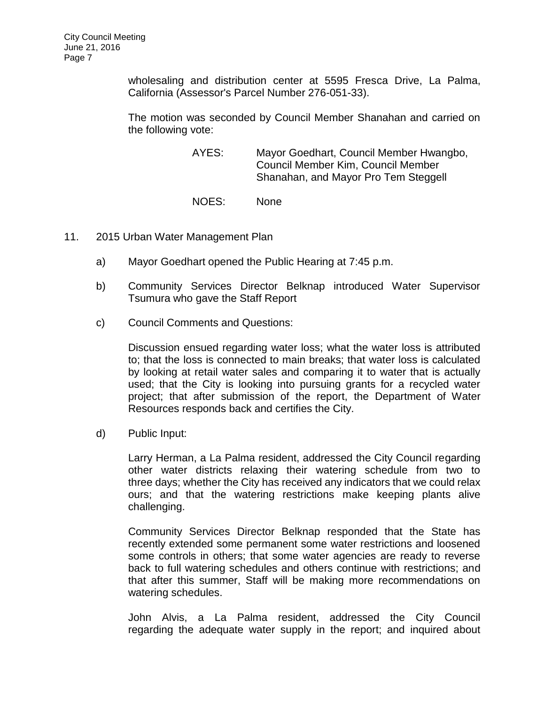wholesaling and distribution center at 5595 Fresca Drive, La Palma, California (Assessor's Parcel Number 276-051-33).

The motion was seconded by Council Member Shanahan and carried on the following vote:

> AYES: Mayor Goedhart, Council Member Hwangbo, Council Member Kim, Council Member Shanahan, and Mayor Pro Tem Steggell

NOES: None

- 11. [2015 Urban Water Management Plan](http://lapalma.granicus.com/MediaPlayer.php?view_id=&clip_id=1014&meta_id=134352)
	- a) [Mayor Goedhart opened the](http://lapalma.granicus.com/MediaPlayer.php?view_id=&clip_id=1014&meta_id=134353) Public Hearing at 7:45 p.m.
	- b) [Community Services Director Belknap introduced Water Supervisor](http://lapalma.granicus.com/MediaPlayer.php?view_id=&clip_id=1014&meta_id=134354)  Tsumura [who gave the Staff Report](http://lapalma.granicus.com/MediaPlayer.php?view_id=&clip_id=1014&meta_id=134354)
	- c) [Council Comments and Questions:](http://lapalma.granicus.com/MediaPlayer.php?view_id=&clip_id=1014&meta_id=134356)

Discussion ensued regarding water loss; what the water loss is attributed to; that the loss is connected to main breaks; that water loss is calculated by looking at retail water sales and comparing it to water that is actually used; that the City is looking into pursuing grants for a recycled water project; that after submission of the report, the Department of Water Resources responds back and certifies the City.

d) [Public Input:](http://lapalma.granicus.com/MediaPlayer.php?view_id=&clip_id=1014&meta_id=134359)

Larry Herman, a La Palma resident, addressed the City Council regarding other water districts relaxing their watering schedule from two to three days; whether the City has received any indicators that we could relax ours; and that the watering restrictions make keeping plants alive challenging.

Community Services Director Belknap responded that the State has recently extended some permanent some water restrictions and loosened some controls in others; that some water agencies are ready to reverse back to full watering schedules and others continue with restrictions; and that after this summer, Staff will be making more recommendations on watering schedules.

John Alvis, a La Palma resident, addressed the City Council regarding the adequate water supply in the report; and inquired about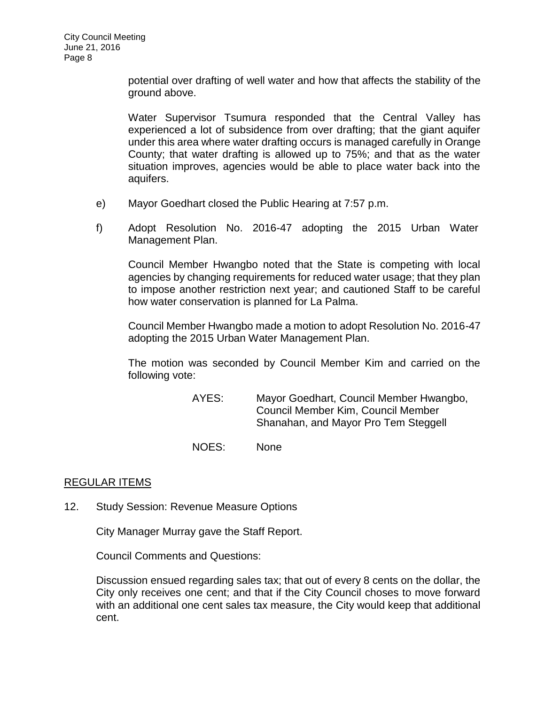potential over drafting of well water and how that affects the stability of the ground above.

Water Supervisor Tsumura responded that the Central Valley has experienced a lot of subsidence from over drafting; that the giant aquifer under this area where water drafting occurs is managed carefully in Orange County; that water drafting is allowed up to 75%; and that as the water situation improves, agencies would be able to place water back into the aquifers.

- e) Mayor Goedhart closed the [Public Hearing at 7:57 p.m.](http://lapalma.granicus.com/MediaPlayer.php?view_id=&clip_id=1014&meta_id=134362)
- f) Adopt Resolution No. 2016-47 adopting the 2015 Urban Water Management Plan.

Council Member Hwangbo noted that the State is competing with local agencies by changing requirements for reduced water usage; that they plan to impose another restriction next year; and cautioned Staff to be careful how water conservation is planned for La Palma.

Council Member Hwangbo made a motion to adopt Resolution No. 2016-47 adopting the 2015 Urban Water Management Plan.

The motion was seconded by Council Member Kim and carried on the following vote:

> AYES: Mayor Goedhart, Council Member Hwangbo, Council Member Kim, Council Member Shanahan, and Mayor Pro Tem Steggell

NOES: None

## [REGULAR ITEMS](http://lapalma.granicus.com/MediaPlayer.php?view_id=&clip_id=1014&meta_id=134365)

12. [Study Session: Revenue Measure Options](http://lapalma.granicus.com/MediaPlayer.php?view_id=&clip_id=1014&meta_id=134366)

City Manager Murray gave the Staff Report.

Council Comments and Questions:

Discussion ensued regarding sales tax; that out of every 8 cents on the dollar, the City only receives one cent; and that if the City Council choses to move forward with an additional one cent sales tax measure, the City would keep that additional cent.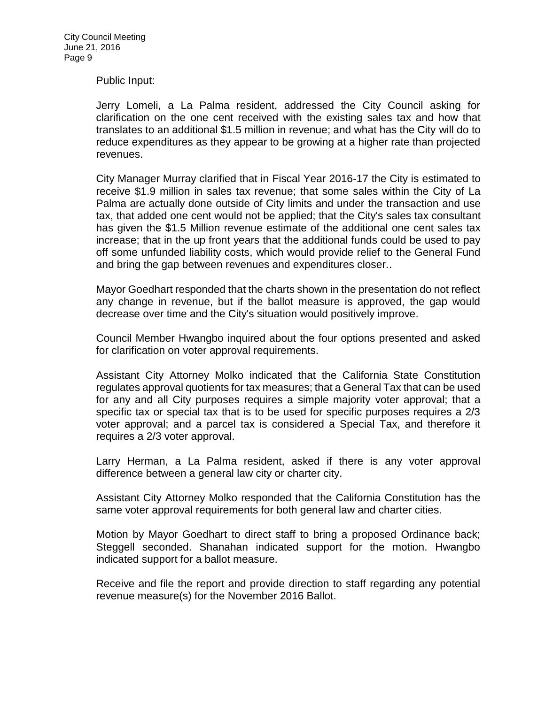#### Public Input:

Jerry Lomeli, a La Palma resident, addressed the City Council asking for clarification on the one cent received with the existing sales tax and how that translates to an additional \$1.5 million in revenue; and what has the City will do to reduce expenditures as they appear to be growing at a higher rate than projected revenues.

City Manager Murray clarified that in Fiscal Year 2016-17 the City is estimated to receive \$1.9 million in sales tax revenue; that some sales within the City of La Palma are actually done outside of City limits and under the transaction and use tax, that added one cent would not be applied; that the City's sales tax consultant has given the \$1.5 Million revenue estimate of the additional one cent sales tax increase; that in the up front years that the additional funds could be used to pay off some unfunded liability costs, which would provide relief to the General Fund and bring the gap between revenues and expenditures closer..

Mayor Goedhart responded that the charts shown in the presentation do not reflect any change in revenue, but if the ballot measure is approved, the gap would decrease over time and the City's situation would positively improve.

Council Member Hwangbo inquired about the four options presented and asked for clarification on voter approval requirements.

Assistant City Attorney Molko indicated that the California State Constitution regulates approval quotients for tax measures; that a General Tax that can be used for any and all City purposes requires a simple majority voter approval; that a specific tax or special tax that is to be used for specific purposes requires a 2/3 voter approval; and a parcel tax is considered a Special Tax, and therefore it requires a 2/3 voter approval.

Larry Herman, a La Palma resident, asked if there is any voter approval difference between a general law city or charter city.

Assistant City Attorney Molko responded that the California Constitution has the same voter approval requirements for both general law and charter cities.

Motion by Mayor Goedhart to direct staff to bring a proposed Ordinance back; Steggell seconded. Shanahan indicated support for the motion. Hwangbo indicated support for a ballot measure.

Receive and file the report and provide direction to staff regarding any potential revenue measure(s) for the November 2016 Ballot.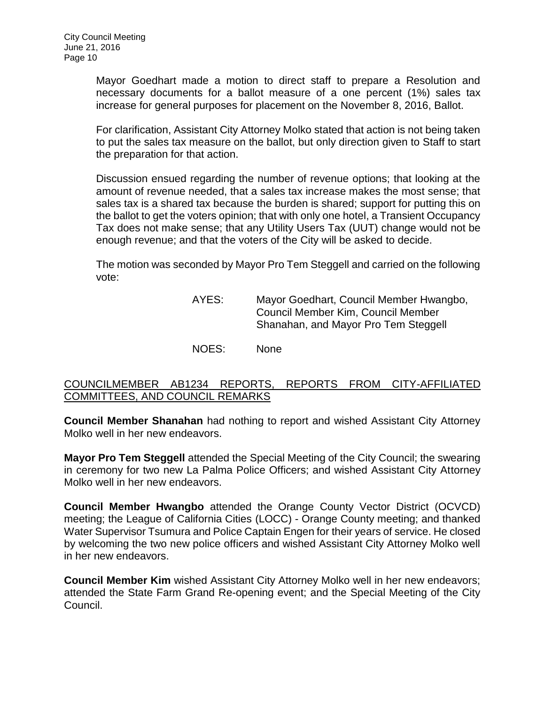Mayor Goedhart made a motion to direct staff to prepare a Resolution and necessary documents for a ballot measure of a one percent (1%) sales tax increase for general purposes for placement on the November 8, 2016, Ballot.

For clarification, Assistant City Attorney Molko stated that action is not being taken to put the sales tax measure on the ballot, but only direction given to Staff to start the preparation for that action.

Discussion ensued regarding the number of revenue options; that looking at the amount of revenue needed, that a sales tax increase makes the most sense; that sales tax is a shared tax because the burden is shared; support for putting this on the ballot to get the voters opinion; that with only one hotel, a Transient Occupancy Tax does not make sense; that any Utility Users Tax (UUT) change would not be enough revenue; and that the voters of the City will be asked to decide.

The motion was seconded by Mayor Pro Tem Steggell and carried on the following vote:

| AYES: | Mayor Goedhart, Council Member Hwangbo,<br>Council Member Kim, Council Member<br>Shanahan, and Mayor Pro Tem Steggell |
|-------|-----------------------------------------------------------------------------------------------------------------------|
| NOES: | <b>None</b>                                                                                                           |

## [COUNCILMEMBER AB1234 REPORTS, REPORTS FROM CITY-AFFILIATED](http://lapalma.granicus.com/MediaPlayer.php?view_id=&clip_id=1014&meta_id=134375)  [COMMITTEES, AND COUNCIL REMARKS](http://lapalma.granicus.com/MediaPlayer.php?view_id=&clip_id=1014&meta_id=134375)

**Council Member Shanahan** had nothing to report and wished Assistant City Attorney Molko well in her new endeavors.

**Mayor Pro Tem Steggell** attended the Special Meeting of the City Council; the swearing in ceremony for two new La Palma Police Officers; and wished Assistant City Attorney Molko well in her new endeavors.

**Council Member Hwangbo** attended the Orange County Vector District (OCVCD) meeting; the League of California Cities (LOCC) - Orange County meeting; and thanked Water Supervisor Tsumura and Police Captain Engen for their years of service. He closed by welcoming the two new police officers and wished Assistant City Attorney Molko well in her new endeavors.

**Council Member Kim** wished Assistant City Attorney Molko well in her new endeavors; attended the State Farm Grand Re-opening event; and the Special Meeting of the City Council.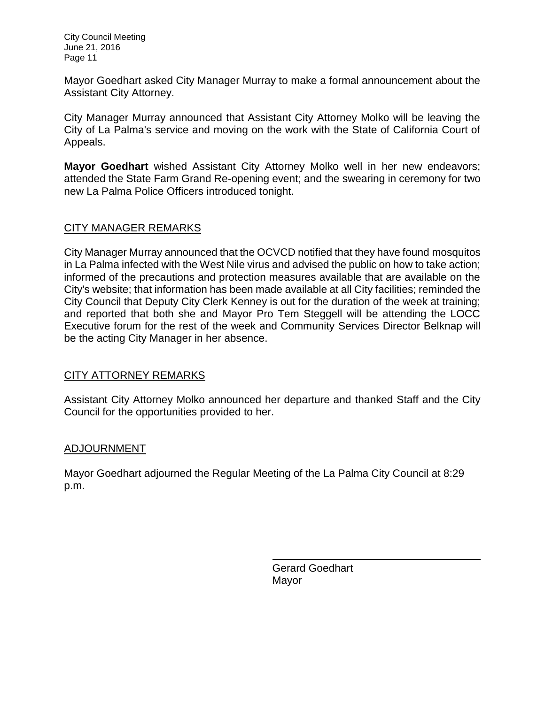City Council Meeting June 21, 2016 Page 11

Mayor Goedhart asked City Manager Murray to make a formal announcement about the Assistant City Attorney.

City Manager Murray announced that Assistant City Attorney Molko will be leaving the City of La Palma's service and moving on the work with the State of California Court of Appeals.

**Mayor Goedhart** wished Assistant City Attorney Molko well in her new endeavors; attended the State Farm Grand Re-opening event; and the swearing in ceremony for two new La Palma Police Officers introduced tonight.

# [CITY MANAGER REMARKS](http://lapalma.granicus.com/MediaPlayer.php?view_id=&clip_id=1014&meta_id=134376)

City Manager Murray announced that the OCVCD notified that they have found mosquitos in La Palma infected with the West Nile virus and advised the public on how to take action; informed of the precautions and protection measures available that are available on the City's website; that information has been made available at all City facilities; reminded the City Council that Deputy City Clerk Kenney is out for the duration of the week at training; and reported that both she and Mayor Pro Tem Steggell will be attending the LOCC Executive forum for the rest of the week and Community Services Director Belknap will be the acting City Manager in her absence.

## [CITY ATTORNEY REMARKS](http://lapalma.granicus.com/MediaPlayer.php?view_id=&clip_id=1014&meta_id=134377)

Assistant City Attorney Molko announced her departure and thanked Staff and the City Council for the opportunities provided to her.

## [ADJOURNMENT](http://lapalma.granicus.com/MediaPlayer.php?view_id=&clip_id=1014&meta_id=134378)

Mayor Goedhart adjourned the Regular Meeting of the La Palma City Council at 8:29 p.m.

> Gerard Goedhart Mayor